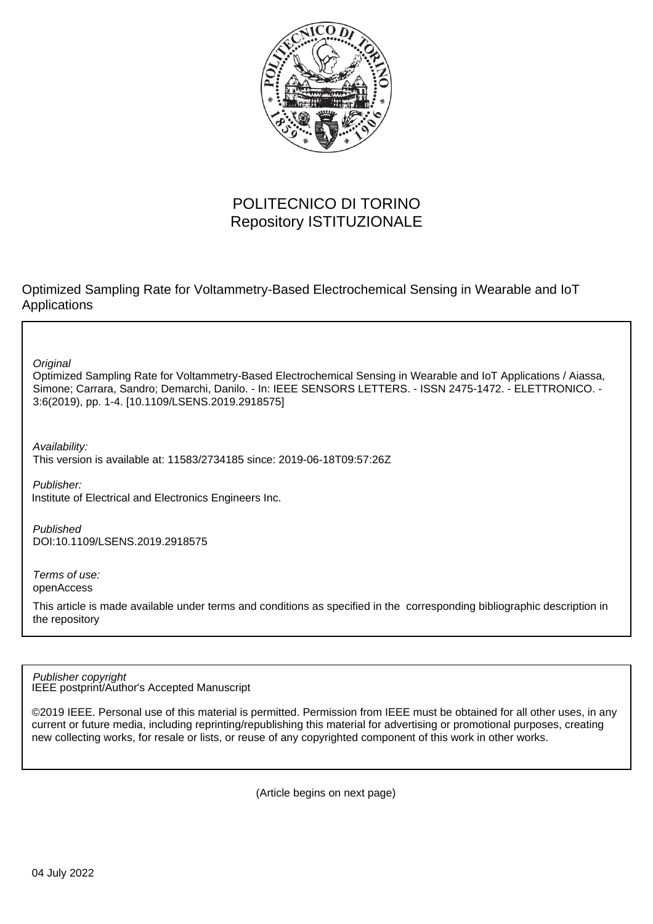

## POLITECNICO DI TORINO Repository ISTITUZIONALE

Optimized Sampling Rate for Voltammetry-Based Electrochemical Sensing in Wearable and IoT Applications

**Original** 

Optimized Sampling Rate for Voltammetry-Based Electrochemical Sensing in Wearable and IoT Applications / Aiassa, Simone; Carrara, Sandro; Demarchi, Danilo. - In: IEEE SENSORS LETTERS. - ISSN 2475-1472. - ELETTRONICO. - 3:6(2019), pp. 1-4. [10.1109/LSENS.2019.2918575]

Availability:

This version is available at: 11583/2734185 since: 2019-06-18T09:57:26Z

Publisher: Institute of Electrical and Electronics Engineers Inc.

Published DOI:10.1109/LSENS.2019.2918575

Terms of use: openAccess

This article is made available under terms and conditions as specified in the corresponding bibliographic description in the repository

IEEE postprint/Author's Accepted Manuscript Publisher copyright

©2019 IEEE. Personal use of this material is permitted. Permission from IEEE must be obtained for all other uses, in any current or future media, including reprinting/republishing this material for advertising or promotional purposes, creating new collecting works, for resale or lists, or reuse of any copyrighted component of this work in other works.

(Article begins on next page)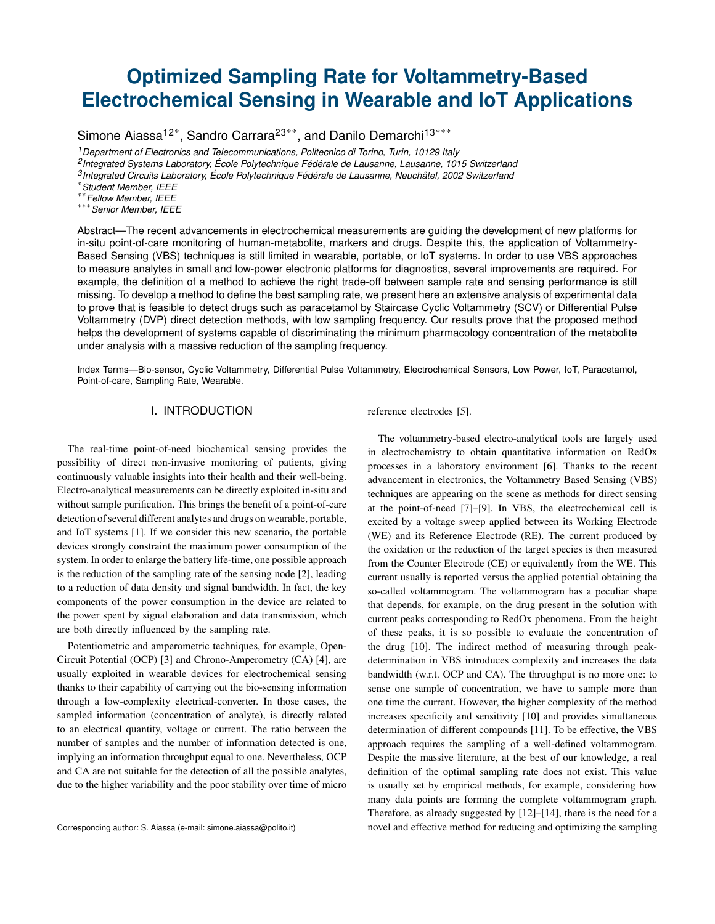# **Optimized Sampling Rate for Voltammetry-Based Electrochemical Sensing in Wearable and IoT Applications**

Simone Aiassa<sup>12\*</sup>, Sandro Carrara<sup>23\*\*</sup>, and Danilo Demarchi<sup>13\*\*\*</sup>

*<sup>1</sup>Department of Electronics and Telecommunications, Politecnico di Torino, Turin, 10129 Italy*

*<sup>2</sup>Integrated Systems Laboratory, École Polytechnique Fédérale de Lausanne, Lausanne, 1015 Switzerland*

*<sup>3</sup>Integrated Circuits Laboratory, École Polytechnique Fédérale de Lausanne, Neuchâtel, 2002 Switzerland*

\**Student Member, IEEE*

\*\**Fellow Member, IEEE*

\*\*\**Senior Member, IEEE*

Abstract—The recent advancements in electrochemical measurements are guiding the development of new platforms for in-situ point-of-care monitoring of human-metabolite, markers and drugs. Despite this, the application of Voltammetry-Based Sensing (VBS) techniques is still limited in wearable, portable, or IoT systems. In order to use VBS approaches to measure analytes in small and low-power electronic platforms for diagnostics, several improvements are required. For example, the definition of a method to achieve the right trade-off between sample rate and sensing performance is still missing. To develop a method to define the best sampling rate, we present here an extensive analysis of experimental data to prove that is feasible to detect drugs such as paracetamol by Staircase Cyclic Voltammetry (SCV) or Differential Pulse Voltammetry (DVP) direct detection methods, with low sampling frequency. Our results prove that the proposed method helps the development of systems capable of discriminating the minimum pharmacology concentration of the metabolite under analysis with a massive reduction of the sampling frequency.

Index Terms—Bio-sensor, Cyclic Voltammetry, Differential Pulse Voltammetry, Electrochemical Sensors, Low Power, IoT, Paracetamol, Point-of-care, Sampling Rate, Wearable.

## I. INTRODUCTION

The real-time point-of-need biochemical sensing provides the possibility of direct non-invasive monitoring of patients, giving continuously valuable insights into their health and their well-being. Electro-analytical measurements can be directly exploited in-situ and without sample purification. This brings the benefit of a point-of-care detection of several different analytes and drugs on wearable, portable, and IoT systems [1]. If we consider this new scenario, the portable devices strongly constraint the maximum power consumption of the system. In order to enlarge the battery life-time, one possible approach is the reduction of the sampling rate of the sensing node [2], leading to a reduction of data density and signal bandwidth. In fact, the key components of the power consumption in the device are related to the power spent by signal elaboration and data transmission, which are both directly influenced by the sampling rate.

Potentiometric and amperometric techniques, for example, Open-Circuit Potential (OCP) [3] and Chrono-Amperometry (CA) [4], are usually exploited in wearable devices for electrochemical sensing thanks to their capability of carrying out the bio-sensing information through a low-complexity electrical-converter. In those cases, the sampled information (concentration of analyte), is directly related to an electrical quantity, voltage or current. The ratio between the number of samples and the number of information detected is one, implying an information throughput equal to one. Nevertheless, OCP and CA are not suitable for the detection of all the possible analytes, due to the higher variability and the poor stability over time of micro reference electrodes [5].

The voltammetry-based electro-analytical tools are largely used in electrochemistry to obtain quantitative information on RedOx processes in a laboratory environment [6]. Thanks to the recent advancement in electronics, the Voltammetry Based Sensing (VBS) techniques are appearing on the scene as methods for direct sensing at the point-of-need [7]–[9]. In VBS, the electrochemical cell is excited by a voltage sweep applied between its Working Electrode (WE) and its Reference Electrode (RE). The current produced by the oxidation or the reduction of the target species is then measured from the Counter Electrode (CE) or equivalently from the WE. This current usually is reported versus the applied potential obtaining the so-called voltammogram. The voltammogram has a peculiar shape that depends, for example, on the drug present in the solution with current peaks corresponding to RedOx phenomena. From the height of these peaks, it is so possible to evaluate the concentration of the drug [10]. The indirect method of measuring through peakdetermination in VBS introduces complexity and increases the data bandwidth (w.r.t. OCP and CA). The throughput is no more one: to sense one sample of concentration, we have to sample more than one time the current. However, the higher complexity of the method increases specificity and sensitivity [10] and provides simultaneous determination of different compounds [11]. To be effective, the VBS approach requires the sampling of a well-defined voltammogram. Despite the massive literature, at the best of our knowledge, a real definition of the optimal sampling rate does not exist. This value is usually set by empirical methods, for example, considering how many data points are forming the complete voltammogram graph. Therefore, as already suggested by [12]–[14], there is the need for a novel and effective method for reducing and optimizing the sampling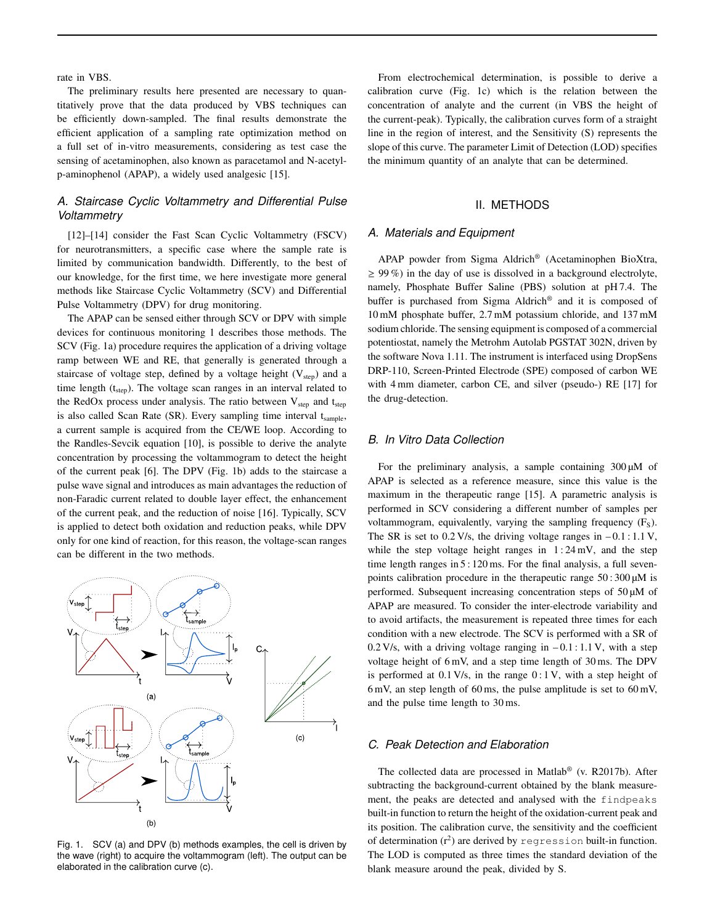rate in VBS.

The preliminary results here presented are necessary to quantitatively prove that the data produced by VBS techniques can be efficiently down-sampled. The final results demonstrate the efficient application of a sampling rate optimization method on a full set of in-vitro measurements, considering as test case the sensing of acetaminophen, also known as paracetamol and N-acetylp-aminophenol (APAP), a widely used analgesic [15].

## *A. Staircase Cyclic Voltammetry and Differential Pulse Voltammetry*

[12]–[14] consider the Fast Scan Cyclic Voltammetry (FSCV) for neurotransmitters, a specific case where the sample rate is limited by communication bandwidth. Differently, to the best of our knowledge, for the first time, we here investigate more general methods like Staircase Cyclic Voltammetry (SCV) and Differential Pulse Voltammetry (DPV) for drug monitoring.

The APAP can be sensed either through SCV or DPV with simple devices for continuous monitoring 1 describes those methods. The SCV (Fig. 1a) procedure requires the application of a driving voltage ramp between WE and RE, that generally is generated through a staircase of voltage step, defined by a voltage height  $(V<sub>sten</sub>)$  and a time length  $(t<sub>step</sub>)$ . The voltage scan ranges in an interval related to the RedOx process under analysis. The ratio between  $V_{step}$  and  $t_{step}$ is also called Scan Rate (SR). Every sampling time interval t<sub>sample</sub>, a current sample is acquired from the CE/WE loop. According to the Randles-Sevcik equation [10], is possible to derive the analyte concentration by processing the voltammogram to detect the height of the current peak [6]. The DPV (Fig. 1b) adds to the staircase a pulse wave signal and introduces as main advantages the reduction of non-Faradic current related to double layer effect, the enhancement of the current peak, and the reduction of noise [16]. Typically, SCV is applied to detect both oxidation and reduction peaks, while DPV only for one kind of reaction, for this reason, the voltage-scan ranges can be different in the two methods.



Fig. 1. SCV (a) and DPV (b) methods examples, the cell is driven by the wave (right) to acquire the voltammogram (left). The output can be elaborated in the calibration curve (c).

From electrochemical determination, is possible to derive a calibration curve (Fig. 1c) which is the relation between the concentration of analyte and the current (in VBS the height of the current-peak). Typically, the calibration curves form of a straight line in the region of interest, and the Sensitivity (S) represents the slope of this curve. The parameter Limit of Detection (LOD) specifies the minimum quantity of an analyte that can be determined.

#### II. METHODS

#### *A. Materials and Equipment*

APAP powder from Sigma Aldrich® (Acetaminophen BioXtra,  $\geq$  99%) in the day of use is dissolved in a background electrolyte, namely, Phosphate Buffer Saline (PBS) solution at pH 7.4. The buffer is purchased from Sigma Aldrich® and it is composed of 10 mM phosphate buffer, 2.7 mM potassium chloride, and 137 mM sodium chloride. The sensing equipment is composed of a commercial potentiostat, namely the Metrohm Autolab PGSTAT 302N, driven by the software Nova 1.11. The instrument is interfaced using DropSens DRP-110, Screen-Printed Electrode (SPE) composed of carbon WE with 4 mm diameter, carbon CE, and silver (pseudo-) RE [17] for the drug-detection.

#### *B. In Vitro Data Collection*

For the preliminary analysis, a sample containing  $300 \mu M$  of APAP is selected as a reference measure, since this value is the maximum in the therapeutic range [15]. A parametric analysis is performed in SCV considering a different number of samples per voltammogram, equivalently, varying the sampling frequency  $(F<sub>s</sub>)$ . The SR is set to  $0.2$  V/s, the driving voltage ranges in  $-0.1$ : 1.1 V, while the step voltage height ranges in  $1:24 \text{ mV}$ , and the step time length ranges in 5 : 120 ms. For the final analysis, a full sevenpoints calibration procedure in the therapeutic range  $50:300 \mu M$  is performed. Subsequent increasing concentration steps of 50 µM of APAP are measured. To consider the inter-electrode variability and to avoid artifacts, the measurement is repeated three times for each condition with a new electrode. The SCV is performed with a SR of 0.2 V/s, with a driving voltage ranging in  $-0.1$ : 1.1 V, with a step voltage height of 6 mV, and a step time length of 30 ms. The DPV is performed at  $0.1$  V/s, in the range  $0:1$  V, with a step height of 6 mV, an step length of 60 ms, the pulse amplitude is set to 60 mV, and the pulse time length to 30 ms.

#### *C. Peak Detection and Elaboration*

The collected data are processed in Matlab® (v. R2017b). After subtracting the background-current obtained by the blank measurement, the peaks are detected and analysed with the findpeaks built-in function to return the height of the oxidation-current peak and its position. The calibration curve, the sensitivity and the coefficient of determination  $(r^2)$  are derived by regression built-in function. The LOD is computed as three times the standard deviation of the blank measure around the peak, divided by S.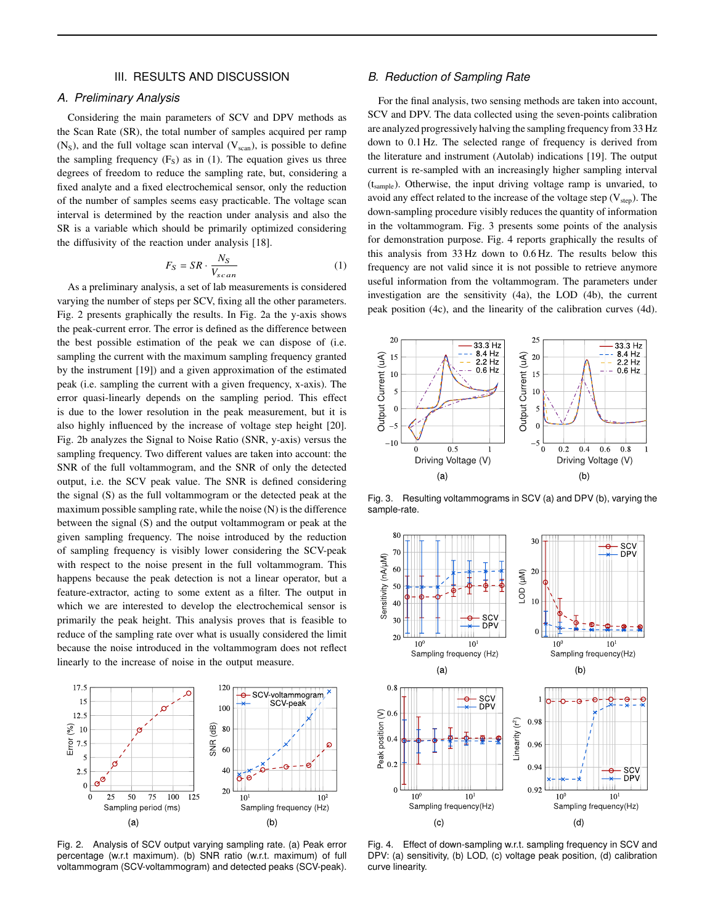#### III. RESULTS AND DISCUSSION

#### *A. Preliminary Analysis*

Considering the main parameters of SCV and DPV methods as the Scan Rate (SR), the total number of samples acquired per ramp  $(N<sub>S</sub>)$ , and the full voltage scan interval  $(V<sub>scan</sub>)$ , is possible to define the sampling frequency  $(F<sub>S</sub>)$  as in (1). The equation gives us three degrees of freedom to reduce the sampling rate, but, considering a fixed analyte and a fixed electrochemical sensor, only the reduction of the number of samples seems easy practicable. The voltage scan interval is determined by the reaction under analysis and also the SR is a variable which should be primarily optimized considering the diffusivity of the reaction under analysis [18].

$$
F_S = SR \cdot \frac{N_S}{V_{scan}} \tag{1}
$$

As a preliminary analysis, a set of lab measurements is considered varying the number of steps per SCV, fixing all the other parameters. Fig. 2 presents graphically the results. In Fig. 2a the y-axis shows the peak-current error. The error is defined as the difference between the best possible estimation of the peak we can dispose of (i.e. sampling the current with the maximum sampling frequency granted by the instrument [19]) and a given approximation of the estimated peak (i.e. sampling the current with a given frequency, x-axis). The error quasi-linearly depends on the sampling period. This effect is due to the lower resolution in the peak measurement, but it is also highly influenced by the increase of voltage step height [20]. Fig. 2b analyzes the Signal to Noise Ratio (SNR, y-axis) versus the sampling frequency. Two different values are taken into account: the SNR of the full voltammogram, and the SNR of only the detected output, i.e. the SCV peak value. The SNR is defined considering the signal (S) as the full voltammogram or the detected peak at the maximum possible sampling rate, while the noise (N) is the difference between the signal (S) and the output voltammogram or peak at the given sampling frequency. The noise introduced by the reduction of sampling frequency is visibly lower considering the SCV-peak with respect to the noise present in the full voltammogram. This happens because the peak detection is not a linear operator, but a feature-extractor, acting to some extent as a filter. The output in which we are interested to develop the electrochemical sensor is primarily the peak height. This analysis proves that is feasible to reduce of the sampling rate over what is usually considered the limit because the noise introduced in the voltammogram does not reflect linearly to the increase of noise in the output measure.



Fig. 2. Analysis of SCV output varying sampling rate. (a) Peak error percentage (w.r.t maximum). (b) SNR ratio (w.r.t. maximum) of full voltammogram (SCV-voltammogram) and detected peaks (SCV-peak).

#### *B. Reduction of Sampling Rate*

For the final analysis, two sensing methods are taken into account, SCV and DPV. The data collected using the seven-points calibration are analyzed progressively halving the sampling frequency from 33 Hz down to 0.1 Hz. The selected range of frequency is derived from the literature and instrument (Autolab) indications [19]. The output current is re-sampled with an increasingly higher sampling interval (tsample). Otherwise, the input driving voltage ramp is unvaried, to avoid any effect related to the increase of the voltage step  $(V_{step})$ . The down-sampling procedure visibly reduces the quantity of information in the voltammogram. Fig. 3 presents some points of the analysis for demonstration purpose. Fig. 4 reports graphically the results of this analysis from 33 Hz down to 0.6 Hz. The results below this frequency are not valid since it is not possible to retrieve anymore useful information from the voltammogram. The parameters under investigation are the sensitivity (4a), the LOD (4b), the current peak position (4c), and the linearity of the calibration curves (4d).



Fig. 3. Resulting voltammograms in SCV (a) and DPV (b), varying the sample-rate.



Fig. 4. Effect of down-sampling w.r.t. sampling frequency in SCV and DPV: (a) sensitivity, (b) LOD, (c) voltage peak position, (d) calibration curve linearity.